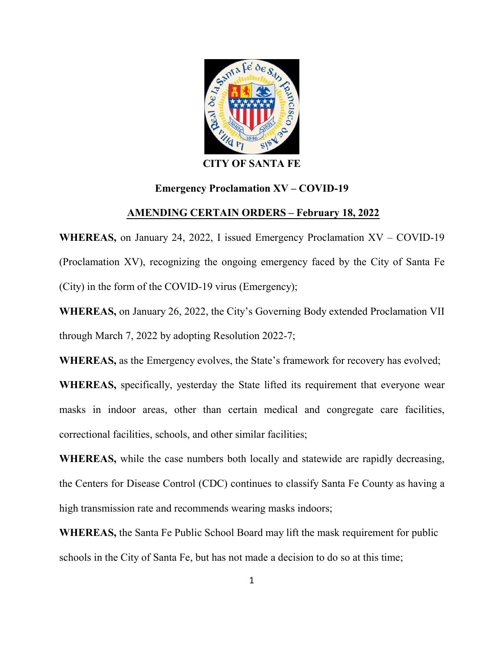

## CITY OF SANTA FE

## Emergency Proclamation XV – COVID-19

## AMENDING CERTAIN ORDERS – February 1**8**, 2022

WHEREAS, on January 24, 2022, I issued Emergency Proclamation XV – COVID-19 (Proclamation XV), recognizing the ongoing emergency faced by the City of Santa Fe (City) in the form of the COVID-19 virus (Emergency);

WHEREAS, on January 26, 2022, the City's Governing Body extended Proclamation VII through March 7, 2022 by adopting Resolution 2022-7;

WHEREAS, as the Emergency evolves, the State's framework for recovery has evolved;

WHEREAS, specifically, yesterday the State lifted its requirement that everyone wear masks in indoor areas, other than certain medical and congregate care facilities, correctional facilities, schools, and other similar facilities;

WHEREAS, while the case numbers both locally and statewide are rapidly decreasing, the Centers for Disease Control (CDC) continues to classify Santa Fe County as having a high transmission rate and recommends wearing masks indoors;

WHEREAS, the Santa Fe Public School Board may lift the mask requirement for public schools in the City of Santa Fe, but has not made a decision to do so at this time;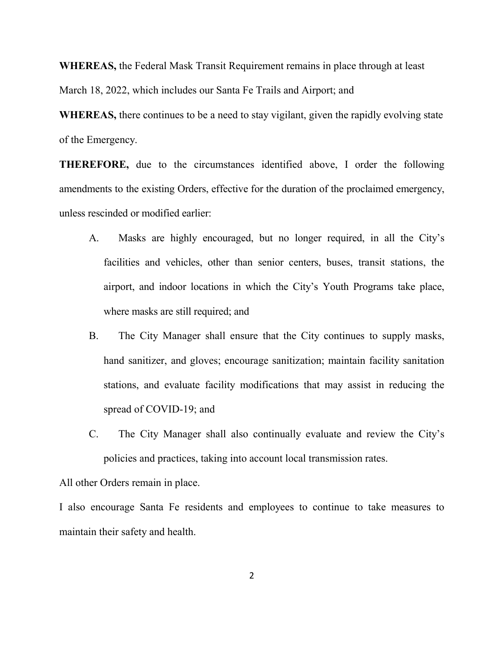WHEREAS, the Federal Mask Transit Requirement remains in place through at least

March 18, 2022, which includes our Santa Fe Trails and Airport; and

WHEREAS, there continues to be a need to stay vigilant, given the rapidly evolving state of the Emergency.

THEREFORE, due to the circumstances identified above, I order the following amendments to the existing Orders, effective for the duration of the proclaimed emergency, unless rescinded or modified earlier:

- A. Masks are highly encouraged, but no longer required, in all the City's facilities and vehicles, other than senior centers, buses, transit stations, the airport, and indoor locations in which the City's Youth Programs take place, where masks are still required; and
- B. The City Manager shall ensure that the City continues to supply masks, hand sanitizer, and gloves; encourage sanitization; maintain facility sanitation stations, and evaluate facility modifications that may assist in reducing the spread of COVID-19; and
- C. The City Manager shall also continually evaluate and review the City's policies and practices, taking into account local transmission rates.

All other Orders remain in place.

I also encourage Santa Fe residents and employees to continue to take measures to maintain their safety and health.